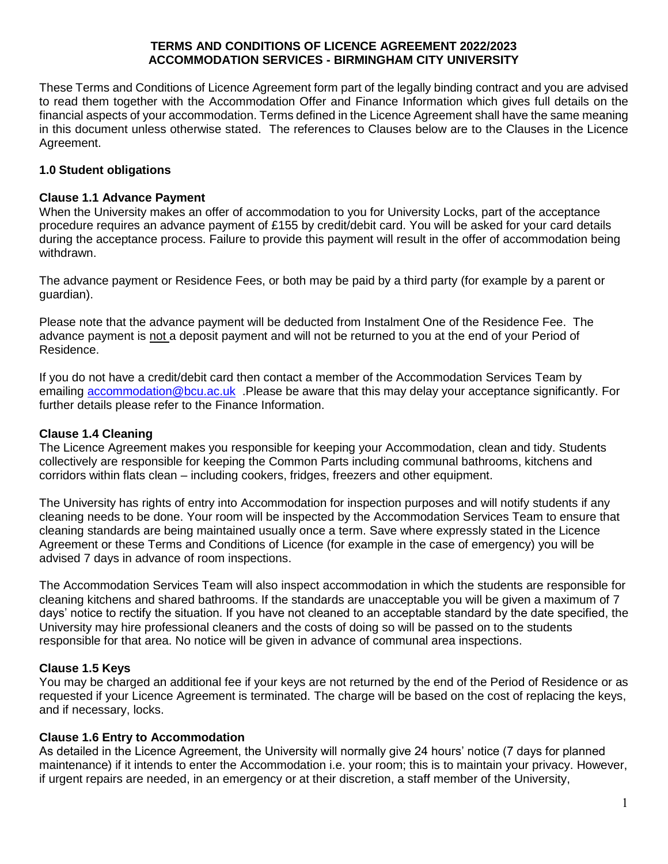#### **TERMS AND CONDITIONS OF LICENCE AGREEMENT 2022/2023 ACCOMMODATION SERVICES - BIRMINGHAM CITY UNIVERSITY**

These Terms and Conditions of Licence Agreement form part of the legally binding contract and you are advised to read them together with the Accommodation Offer and Finance Information which gives full details on the financial aspects of your accommodation. Terms defined in the Licence Agreement shall have the same meaning in this document unless otherwise stated. The references to Clauses below are to the Clauses in the Licence Agreement.

# **1.0 Student obligations**

### **Clause 1.1 Advance Payment**

When the University makes an offer of accommodation to you for University Locks, part of the acceptance procedure requires an advance payment of £155 by credit/debit card. You will be asked for your card details during the acceptance process. Failure to provide this payment will result in the offer of accommodation being withdrawn.

The advance payment or Residence Fees, or both may be paid by a third party (for example by a parent or guardian).

Please note that the advance payment will be deducted from Instalment One of the Residence Fee. The advance payment is not a deposit payment and will not be returned to you at the end of your Period of Residence.

If you do not have a credit/debit card then contact a member of the Accommodation Services Team by emailing [accommodation@bcu.ac.uk](mailto:accommodation@bcu.ac.uk) . Please be aware that this may delay your acceptance significantly. For further details please refer to the Finance Information.

### **Clause 1.4 Cleaning**

The Licence Agreement makes you responsible for keeping your Accommodation, clean and tidy. Students collectively are responsible for keeping the Common Parts including communal bathrooms, kitchens and corridors within flats clean – including cookers, fridges, freezers and other equipment.

The University has rights of entry into Accommodation for inspection purposes and will notify students if any cleaning needs to be done. Your room will be inspected by the Accommodation Services Team to ensure that cleaning standards are being maintained usually once a term. Save where expressly stated in the Licence Agreement or these Terms and Conditions of Licence (for example in the case of emergency) you will be advised 7 days in advance of room inspections.

The Accommodation Services Team will also inspect accommodation in which the students are responsible for cleaning kitchens and shared bathrooms. If the standards are unacceptable you will be given a maximum of 7 days' notice to rectify the situation. If you have not cleaned to an acceptable standard by the date specified, the University may hire professional cleaners and the costs of doing so will be passed on to the students responsible for that area. No notice will be given in advance of communal area inspections.

### **Clause 1.5 Keys**

You may be charged an additional fee if your keys are not returned by the end of the Period of Residence or as requested if your Licence Agreement is terminated. The charge will be based on the cost of replacing the keys, and if necessary, locks.

### **Clause 1.6 Entry to Accommodation**

As detailed in the Licence Agreement, the University will normally give 24 hours' notice (7 days for planned maintenance) if it intends to enter the Accommodation i.e. your room; this is to maintain your privacy. However, if urgent repairs are needed, in an emergency or at their discretion, a staff member of the University,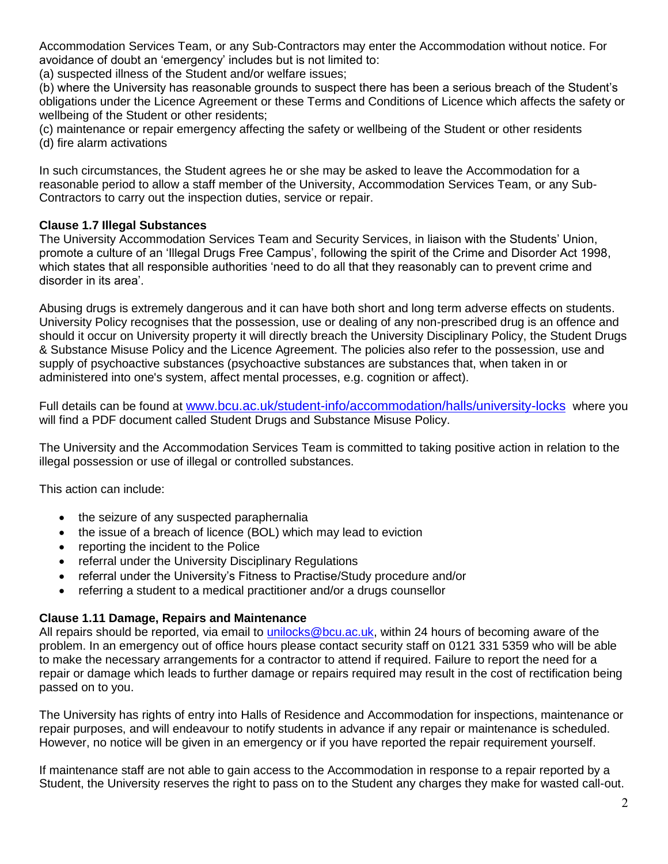Accommodation Services Team, or any Sub-Contractors may enter the Accommodation without notice. For avoidance of doubt an 'emergency' includes but is not limited to:

(a) suspected illness of the Student and/or welfare issues;

(b) where the University has reasonable grounds to suspect there has been a serious breach of the Student's obligations under the Licence Agreement or these Terms and Conditions of Licence which affects the safety or wellbeing of the Student or other residents;

(c) maintenance or repair emergency affecting the safety or wellbeing of the Student or other residents (d) fire alarm activations

In such circumstances, the Student agrees he or she may be asked to leave the Accommodation for a reasonable period to allow a staff member of the University, Accommodation Services Team, or any Sub-Contractors to carry out the inspection duties, service or repair.

# **Clause 1.7 Illegal Substances**

The University Accommodation Services Team and Security Services, in liaison with the Students' Union, promote a culture of an 'Illegal Drugs Free Campus', following the spirit of the Crime and Disorder Act 1998, which states that all responsible authorities 'need to do all that they reasonably can to prevent crime and disorder in its area'.

Abusing drugs is extremely dangerous and it can have both short and long term adverse effects on students. University Policy recognises that the possession, use or dealing of any non-prescribed drug is an offence and should it occur on University property it will directly breach the University Disciplinary Policy, the Student Drugs & Substance Misuse Policy and the Licence Agreement. The policies also refer to the possession, use and supply of psychoactive substances (psychoactive substances are substances that, when taken in or administered into one's system, affect mental processes, e.g. cognition or affect).

Full details can be found at [www.bcu.ac.uk/student-info/accommodation/halls/university-locks](http://www.bcu.ac.uk/student-info/accommodation/halls/university-locks) where you will find a PDF document called Student Drugs and Substance Misuse Policy.

The University and the Accommodation Services Team is committed to taking positive action in relation to the illegal possession or use of illegal or controlled substances.

This action can include:

- the seizure of any suspected paraphernalia
- the issue of a breach of licence (BOL) which may lead to eviction
- reporting the incident to the Police
- referral under the University Disciplinary Regulations
- referral under the University's Fitness to Practise/Study procedure and/or
- referring a student to a medical practitioner and/or a drugs counsellor

### **Clause 1.11 Damage, Repairs and Maintenance**

All repairs should be reported, via email to [unilocks@bcu.ac.uk,](mailto:unilocks@bcu.ac.uk) within 24 hours of becoming aware of the problem. In an emergency out of office hours please contact security staff on 0121 331 5359 who will be able to make the necessary arrangements for a contractor to attend if required. Failure to report the need for a repair or damage which leads to further damage or repairs required may result in the cost of rectification being passed on to you.

The University has rights of entry into Halls of Residence and Accommodation for inspections, maintenance or repair purposes, and will endeavour to notify students in advance if any repair or maintenance is scheduled. However, no notice will be given in an emergency or if you have reported the repair requirement yourself.

If maintenance staff are not able to gain access to the Accommodation in response to a repair reported by a Student, the University reserves the right to pass on to the Student any charges they make for wasted call-out.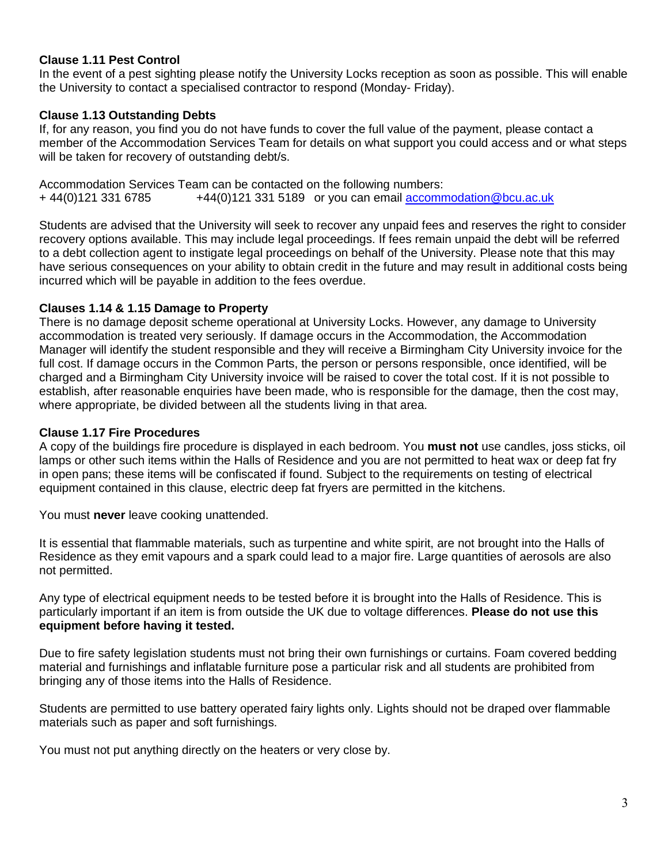# **Clause 1.11 Pest Control**

In the event of a pest sighting please notify the University Locks reception as soon as possible. This will enable the University to contact a specialised contractor to respond (Monday- Friday).

### **Clause 1.13 Outstanding Debts**

If, for any reason, you find you do not have funds to cover the full value of the payment, please contact a member of the Accommodation Services Team for details on what support you could access and or what steps will be taken for recovery of outstanding debt/s.

Accommodation Services Team can be contacted on the following numbers: + 44(0)121 331 6785 +44(0)121 331 5189 or you can email [accommodation@bcu.ac.uk](mailto:accommodation@bcu.ac.uk) 

Students are advised that the University will seek to recover any unpaid fees and reserves the right to consider recovery options available. This may include legal proceedings. If fees remain unpaid the debt will be referred to a debt collection agent to instigate legal proceedings on behalf of the University. Please note that this may have serious consequences on your ability to obtain credit in the future and may result in additional costs being incurred which will be payable in addition to the fees overdue.

### **Clauses 1.14 & 1.15 Damage to Property**

There is no damage deposit scheme operational at University Locks. However, any damage to University accommodation is treated very seriously. If damage occurs in the Accommodation, the Accommodation Manager will identify the student responsible and they will receive a Birmingham City University invoice for the full cost. If damage occurs in the Common Parts, the person or persons responsible, once identified, will be charged and a Birmingham City University invoice will be raised to cover the total cost. If it is not possible to establish, after reasonable enquiries have been made, who is responsible for the damage, then the cost may, where appropriate, be divided between all the students living in that area.

#### **Clause 1.17 Fire Procedures**

A copy of the buildings fire procedure is displayed in each bedroom. You **must not** use candles, joss sticks, oil lamps or other such items within the Halls of Residence and you are not permitted to heat wax or deep fat fry in open pans; these items will be confiscated if found. Subject to the requirements on testing of electrical equipment contained in this clause, electric deep fat fryers are permitted in the kitchens.

You must **never** leave cooking unattended.

It is essential that flammable materials, such as turpentine and white spirit, are not brought into the Halls of Residence as they emit vapours and a spark could lead to a major fire. Large quantities of aerosols are also not permitted.

Any type of electrical equipment needs to be tested before it is brought into the Halls of Residence. This is particularly important if an item is from outside the UK due to voltage differences. **Please do not use this equipment before having it tested.**

Due to fire safety legislation students must not bring their own furnishings or curtains. Foam covered bedding material and furnishings and inflatable furniture pose a particular risk and all students are prohibited from bringing any of those items into the Halls of Residence.

Students are permitted to use battery operated fairy lights only. Lights should not be draped over flammable materials such as paper and soft furnishings.

You must not put anything directly on the heaters or very close by.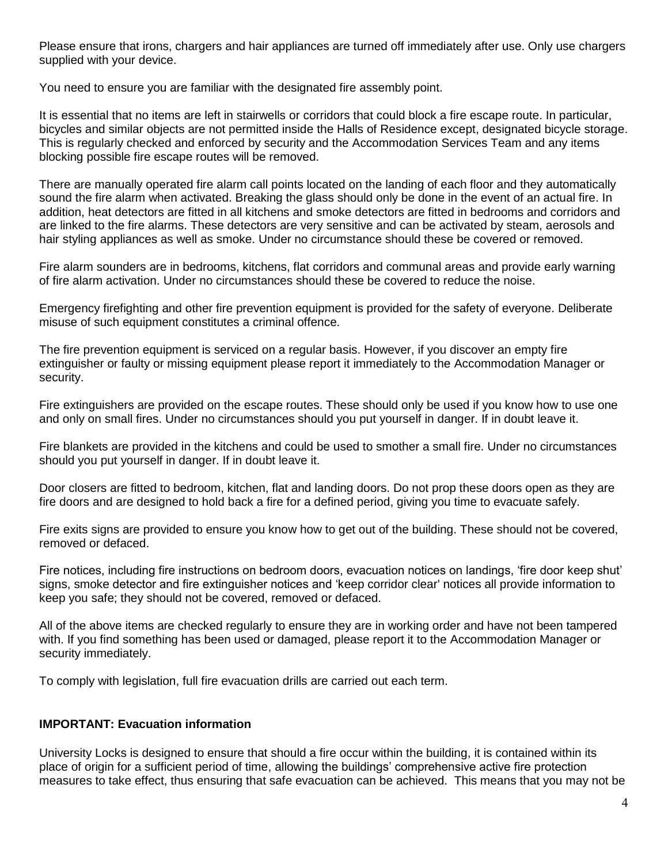Please ensure that irons, chargers and hair appliances are turned off immediately after use. Only use chargers supplied with your device.

You need to ensure you are familiar with the designated fire assembly point.

It is essential that no items are left in stairwells or corridors that could block a fire escape route. In particular, bicycles and similar objects are not permitted inside the Halls of Residence except, designated bicycle storage. This is regularly checked and enforced by security and the Accommodation Services Team and any items blocking possible fire escape routes will be removed.

There are manually operated fire alarm call points located on the landing of each floor and they automatically sound the fire alarm when activated. Breaking the glass should only be done in the event of an actual fire. In addition, heat detectors are fitted in all kitchens and smoke detectors are fitted in bedrooms and corridors and are linked to the fire alarms. These detectors are very sensitive and can be activated by steam, aerosols and hair styling appliances as well as smoke. Under no circumstance should these be covered or removed.

Fire alarm sounders are in bedrooms, kitchens, flat corridors and communal areas and provide early warning of fire alarm activation. Under no circumstances should these be covered to reduce the noise.

Emergency firefighting and other fire prevention equipment is provided for the safety of everyone. Deliberate misuse of such equipment constitutes a criminal offence.

The fire prevention equipment is serviced on a regular basis. However, if you discover an empty fire extinguisher or faulty or missing equipment please report it immediately to the Accommodation Manager or security.

Fire extinguishers are provided on the escape routes. These should only be used if you know how to use one and only on small fires. Under no circumstances should you put yourself in danger. If in doubt leave it.

Fire blankets are provided in the kitchens and could be used to smother a small fire. Under no circumstances should you put yourself in danger. If in doubt leave it.

Door closers are fitted to bedroom, kitchen, flat and landing doors. Do not prop these doors open as they are fire doors and are designed to hold back a fire for a defined period, giving you time to evacuate safely.

Fire exits signs are provided to ensure you know how to get out of the building. These should not be covered, removed or defaced.

Fire notices, including fire instructions on bedroom doors, evacuation notices on landings, 'fire door keep shut' signs, smoke detector and fire extinguisher notices and 'keep corridor clear' notices all provide information to keep you safe; they should not be covered, removed or defaced.

All of the above items are checked regularly to ensure they are in working order and have not been tampered with. If you find something has been used or damaged, please report it to the Accommodation Manager or security immediately.

To comply with legislation, full fire evacuation drills are carried out each term.

### **IMPORTANT: Evacuation information**

University Locks is designed to ensure that should a fire occur within the building, it is contained within its place of origin for a sufficient period of time, allowing the buildings' comprehensive active fire protection measures to take effect, thus ensuring that safe evacuation can be achieved. This means that you may not be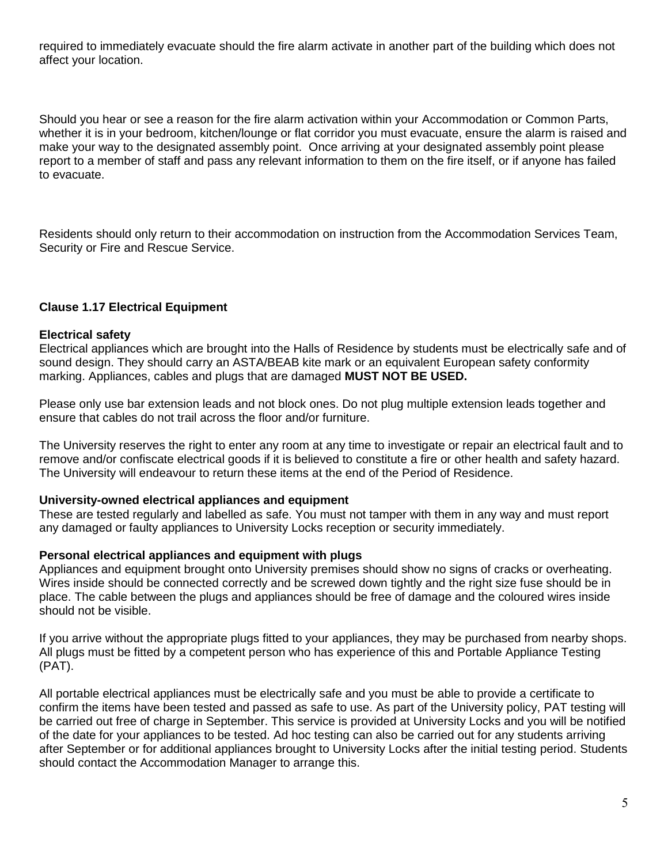required to immediately evacuate should the fire alarm activate in another part of the building which does not affect your location.

Should you hear or see a reason for the fire alarm activation within your Accommodation or Common Parts, whether it is in your bedroom, kitchen/lounge or flat corridor you must evacuate, ensure the alarm is raised and make your way to the designated assembly point. Once arriving at your designated assembly point please report to a member of staff and pass any relevant information to them on the fire itself, or if anyone has failed to evacuate.

Residents should only return to their accommodation on instruction from the Accommodation Services Team, Security or Fire and Rescue Service.

### **Clause 1.17 Electrical Equipment**

#### **Electrical safety**

Electrical appliances which are brought into the Halls of Residence by students must be electrically safe and of sound design. They should carry an ASTA/BEAB kite mark or an equivalent European safety conformity marking. Appliances, cables and plugs that are damaged **MUST NOT BE USED.**

Please only use bar extension leads and not block ones. Do not plug multiple extension leads together and ensure that cables do not trail across the floor and/or furniture.

The University reserves the right to enter any room at any time to investigate or repair an electrical fault and to remove and/or confiscate electrical goods if it is believed to constitute a fire or other health and safety hazard. The University will endeavour to return these items at the end of the Period of Residence.

#### **University-owned electrical appliances and equipment**

These are tested regularly and labelled as safe. You must not tamper with them in any way and must report any damaged or faulty appliances to University Locks reception or security immediately.

### **Personal electrical appliances and equipment with plugs**

Appliances and equipment brought onto University premises should show no signs of cracks or overheating. Wires inside should be connected correctly and be screwed down tightly and the right size fuse should be in place. The cable between the plugs and appliances should be free of damage and the coloured wires inside should not be visible.

If you arrive without the appropriate plugs fitted to your appliances, they may be purchased from nearby shops. All plugs must be fitted by a competent person who has experience of this and Portable Appliance Testing (PAT).

All portable electrical appliances must be electrically safe and you must be able to provide a certificate to confirm the items have been tested and passed as safe to use. As part of the University policy, PAT testing will be carried out free of charge in September. This service is provided at University Locks and you will be notified of the date for your appliances to be tested. Ad hoc testing can also be carried out for any students arriving after September or for additional appliances brought to University Locks after the initial testing period. Students should contact the Accommodation Manager to arrange this.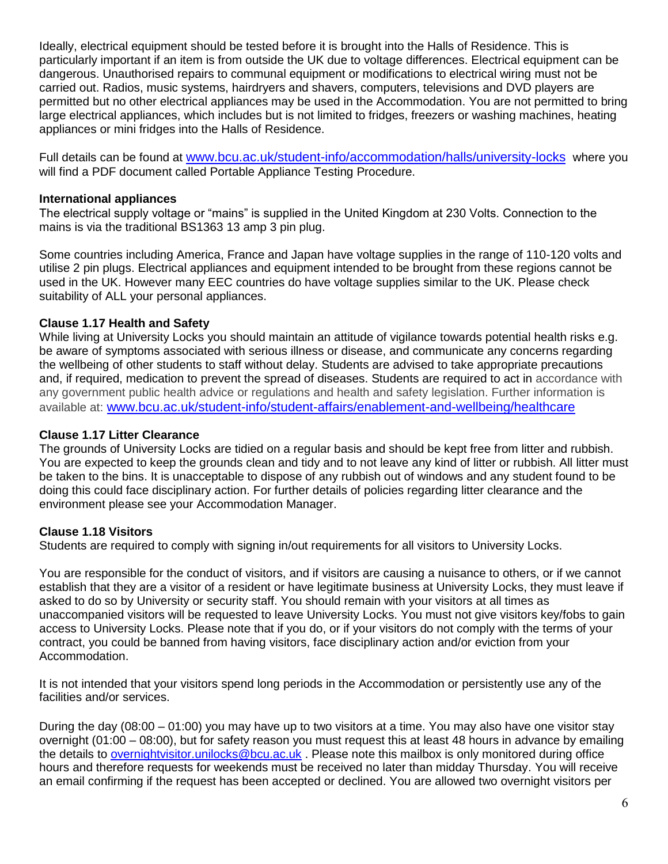Ideally, electrical equipment should be tested before it is brought into the Halls of Residence. This is particularly important if an item is from outside the UK due to voltage differences. Electrical equipment can be dangerous. Unauthorised repairs to communal equipment or modifications to electrical wiring must not be carried out. Radios, music systems, hairdryers and shavers, computers, televisions and DVD players are permitted but no other electrical appliances may be used in the Accommodation. You are not permitted to bring large electrical appliances, which includes but is not limited to fridges, freezers or washing machines, heating appliances or mini fridges into the Halls of Residence.

Full details can be found at [www.bcu.ac.uk/student-info/accommodation/halls/university-locks](http://www.bcu.ac.uk/student-info/accommodation/halls/university-locks) where you will find a PDF document called Portable Appliance Testing Procedure.

### **International appliances**

The electrical supply voltage or "mains" is supplied in the United Kingdom at 230 Volts. Connection to the mains is via the traditional BS1363 13 amp 3 pin plug.

Some countries including America, France and Japan have voltage supplies in the range of 110-120 volts and utilise 2 pin plugs. Electrical appliances and equipment intended to be brought from these regions cannot be used in the UK. However many EEC countries do have voltage supplies similar to the UK. Please check suitability of ALL your personal appliances.

# **Clause 1.17 Health and Safety**

While living at University Locks you should maintain an attitude of vigilance towards potential health risks e.g. be aware of symptoms associated with serious illness or disease, and communicate any concerns regarding the wellbeing of other students to staff without delay. Students are advised to take appropriate precautions and, if required, medication to prevent the spread of diseases. Students are required to act in accordance with any government public health advice or regulations and health and safety legislation. Further information is available at: [www.bcu.ac.uk/student-info/student-affairs/enablement-and-wellbeing/healthcare](http://www.bcu.ac.uk/student-info/student-affairs/enablement-and-wellbeing/healthcare)

### **Clause 1.17 Litter Clearance**

The grounds of University Locks are tidied on a regular basis and should be kept free from litter and rubbish. You are expected to keep the grounds clean and tidy and to not leave any kind of litter or rubbish. All litter must be taken to the bins. It is unacceptable to dispose of any rubbish out of windows and any student found to be doing this could face disciplinary action. For further details of policies regarding litter clearance and the environment please see your Accommodation Manager.

# **Clause 1.18 Visitors**

Students are required to comply with signing in/out requirements for all visitors to University Locks.

You are responsible for the conduct of visitors, and if visitors are causing a nuisance to others, or if we cannot establish that they are a visitor of a resident or have legitimate business at University Locks, they must leave if asked to do so by University or security staff. You should remain with your visitors at all times as unaccompanied visitors will be requested to leave University Locks. You must not give visitors key/fobs to gain access to University Locks. Please note that if you do, or if your visitors do not comply with the terms of your contract, you could be banned from having visitors, face disciplinary action and/or eviction from your Accommodation.

It is not intended that your visitors spend long periods in the Accommodation or persistently use any of the facilities and/or services.

During the day (08:00 – 01:00) you may have up to two visitors at a time. You may also have one visitor stay overnight (01:00 – 08:00), but for safety reason you must request this at least 48 hours in advance by emailing the details to [overnightvisitor.unilocks@bcu.ac.uk](mailto:overnightvisitor.unilocks@bcu.ac.uk) . Please note this mailbox is only monitored during office hours and therefore requests for weekends must be received no later than midday Thursday. You will receive an email confirming if the request has been accepted or declined. You are allowed two overnight visitors per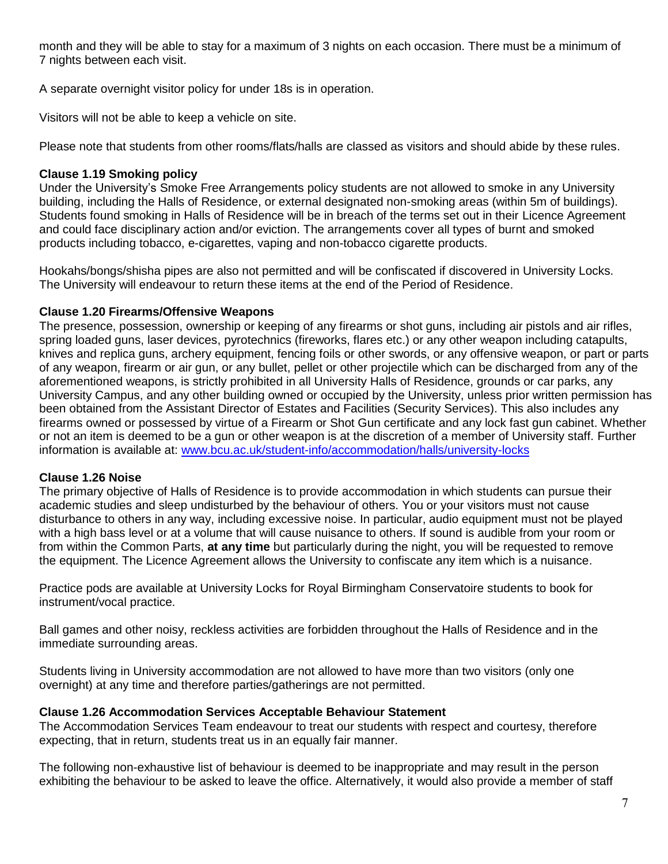month and they will be able to stay for a maximum of 3 nights on each occasion. There must be a minimum of 7 nights between each visit.

A separate overnight visitor policy for under 18s is in operation.

Visitors will not be able to keep a vehicle on site.

Please note that students from other rooms/flats/halls are classed as visitors and should abide by these rules.

# **Clause 1.19 Smoking policy**

Under the University's Smoke Free Arrangements policy students are not allowed to smoke in any University building, including the Halls of Residence, or external designated non-smoking areas (within 5m of buildings). Students found smoking in Halls of Residence will be in breach of the terms set out in their Licence Agreement and could face disciplinary action and/or eviction. The arrangements cover all types of burnt and smoked products including tobacco, e-cigarettes, vaping and non-tobacco cigarette products.

Hookahs/bongs/shisha pipes are also not permitted and will be confiscated if discovered in University Locks. The University will endeavour to return these items at the end of the Period of Residence.

# **Clause 1.20 Firearms/Offensive Weapons**

The presence, possession, ownership or keeping of any firearms or shot guns, including air pistols and air rifles, spring loaded guns, laser devices, pyrotechnics (fireworks, flares etc.) or any other weapon including catapults, knives and replica guns, archery equipment, fencing foils or other swords, or any offensive weapon, or part or parts of any weapon, firearm or air gun, or any bullet, pellet or other projectile which can be discharged from any of the aforementioned weapons, is strictly prohibited in all University Halls of Residence, grounds or car parks, any University Campus, and any other building owned or occupied by the University, unless prior written permission has been obtained from the Assistant Director of Estates and Facilities (Security Services). This also includes any firearms owned or possessed by virtue of a Firearm or Shot Gun certificate and any lock fast gun cabinet. Whether or not an item is deemed to be a gun or other weapon is at the discretion of a member of University staff. Further information is available at: [www.bcu.ac.uk/student-info/accommodation/halls/university-locks](http://www.bcu.ac.uk/student-info/accommodation/halls/university-locks)

### **Clause 1.26 Noise**

The primary objective of Halls of Residence is to provide accommodation in which students can pursue their academic studies and sleep undisturbed by the behaviour of others. You or your visitors must not cause disturbance to others in any way, including excessive noise. In particular, audio equipment must not be played with a high bass level or at a volume that will cause nuisance to others. If sound is audible from your room or from within the Common Parts, **at any time** but particularly during the night, you will be requested to remove the equipment. The Licence Agreement allows the University to confiscate any item which is a nuisance.

Practice pods are available at University Locks for Royal Birmingham Conservatoire students to book for instrument/vocal practice.

Ball games and other noisy, reckless activities are forbidden throughout the Halls of Residence and in the immediate surrounding areas.

Students living in University accommodation are not allowed to have more than two visitors (only one overnight) at any time and therefore parties/gatherings are not permitted.

### **Clause 1.26 Accommodation Services Acceptable Behaviour Statement**

The Accommodation Services Team endeavour to treat our students with respect and courtesy, therefore expecting, that in return, students treat us in an equally fair manner.

The following non-exhaustive list of behaviour is deemed to be inappropriate and may result in the person exhibiting the behaviour to be asked to leave the office. Alternatively, it would also provide a member of staff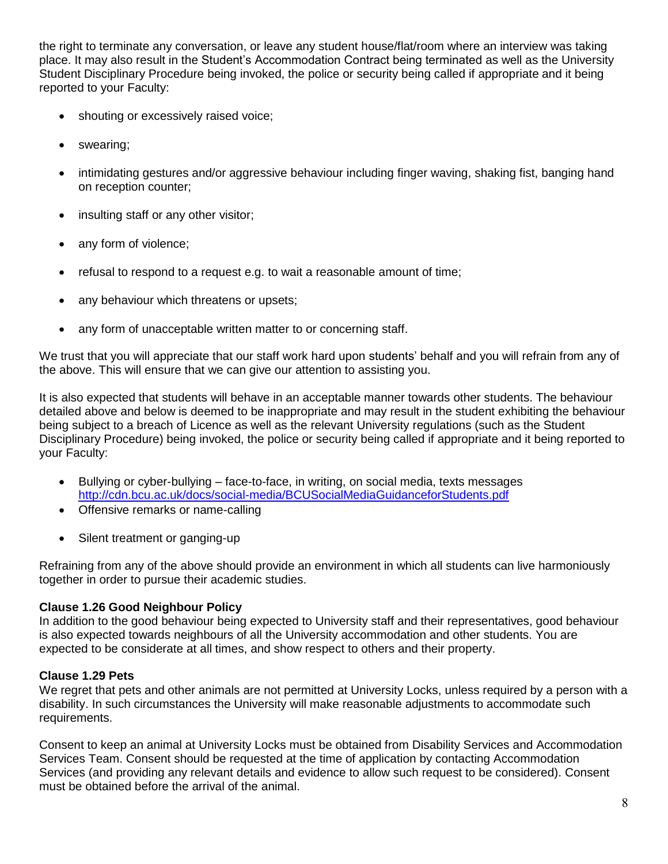the right to terminate any conversation, or leave any student house/flat/room where an interview was taking place. It may also result in the Student's Accommodation Contract being terminated as well as the University Student Disciplinary Procedure being invoked, the police or security being called if appropriate and it being reported to your Faculty:

- shouting or excessively raised voice;
- swearing;
- intimidating gestures and/or aggressive behaviour including finger waving, shaking fist, banging hand on reception counter;
- insulting staff or any other visitor;
- any form of violence;
- refusal to respond to a request e.g. to wait a reasonable amount of time;
- any behaviour which threatens or upsets;
- any form of unacceptable written matter to or concerning staff.

We trust that you will appreciate that our staff work hard upon students' behalf and you will refrain from any of the above. This will ensure that we can give our attention to assisting you.

It is also expected that students will behave in an acceptable manner towards other students. The behaviour detailed above and below is deemed to be inappropriate and may result in the student exhibiting the behaviour being subject to a breach of Licence as well as the relevant University regulations (such as the Student Disciplinary Procedure) being invoked, the police or security being called if appropriate and it being reported to your Faculty:

- Bullying or cyber-bullying face-to-face, in writing, on social media, texts messages <http://cdn.bcu.ac.uk/docs/social-media/BCUSocialMediaGuidanceforStudents.pdf>
- Offensive remarks or name-calling
- Silent treatment or ganging-up

Refraining from any of the above should provide an environment in which all students can live harmoniously together in order to pursue their academic studies.

# **Clause 1.26 Good Neighbour Policy**

In addition to the good behaviour being expected to University staff and their representatives, good behaviour is also expected towards neighbours of all the University accommodation and other students. You are expected to be considerate at all times, and show respect to others and their property.

# **Clause 1.29 Pets**

We regret that pets and other animals are not permitted at University Locks, unless required by a person with a disability. In such circumstances the University will make reasonable adjustments to accommodate such requirements.

Consent to keep an animal at University Locks must be obtained from Disability Services and Accommodation Services Team. Consent should be requested at the time of application by contacting Accommodation Services (and providing any relevant details and evidence to allow such request to be considered). Consent must be obtained before the arrival of the animal.